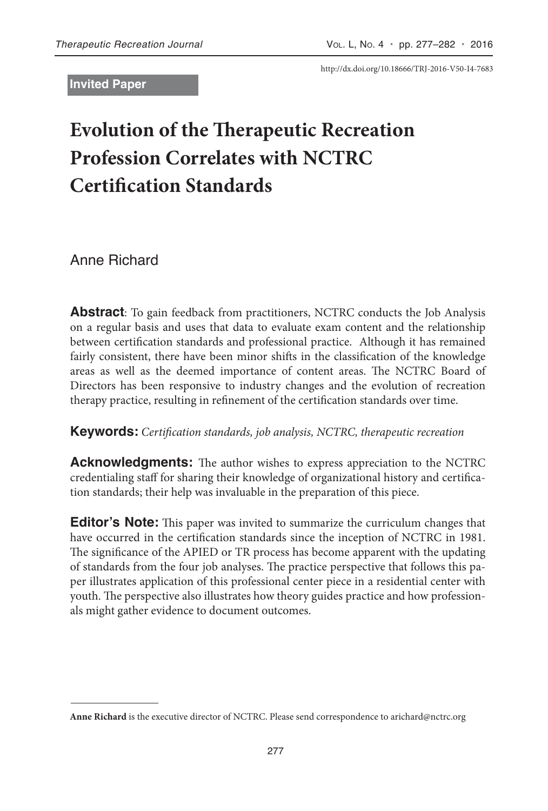**Invited Paper**

http://dx.doi.org/10.18666/TRJ-2016-V50-I4-7683

# **Evolution of the Therapeutic Recreation Profession Correlates with NCTRC Certification Standards**

Anne Richard

**Abstract**: To gain feedback from practitioners, NCTRC conducts the Job Analysis on a regular basis and uses that data to evaluate exam content and the relationship between certification standards and professional practice. Although it has remained fairly consistent, there have been minor shifts in the classification of the knowledge areas as well as the deemed importance of content areas. The NCTRC Board of Directors has been responsive to industry changes and the evolution of recreation therapy practice, resulting in refinement of the certification standards over time.

#### **Keywords:** *Certification standards, job analysis, NCTRC, therapeutic recreation*

**Acknowledgments:** The author wishes to express appreciation to the NCTRC credentialing staff for sharing their knowledge of organizational history and certification standards; their help was invaluable in the preparation of this piece.

**Editor's Note:** This paper was invited to summarize the curriculum changes that have occurred in the certification standards since the inception of NCTRC in 1981. The significance of the APIED or TR process has become apparent with the updating of standards from the four job analyses. The practice perspective that follows this paper illustrates application of this professional center piece in a residential center with youth. The perspective also illustrates how theory guides practice and how professionals might gather evidence to document outcomes.

**Anne Richard** is the executive director of NCTRC. Please send correspondence to arichard@nctrc.org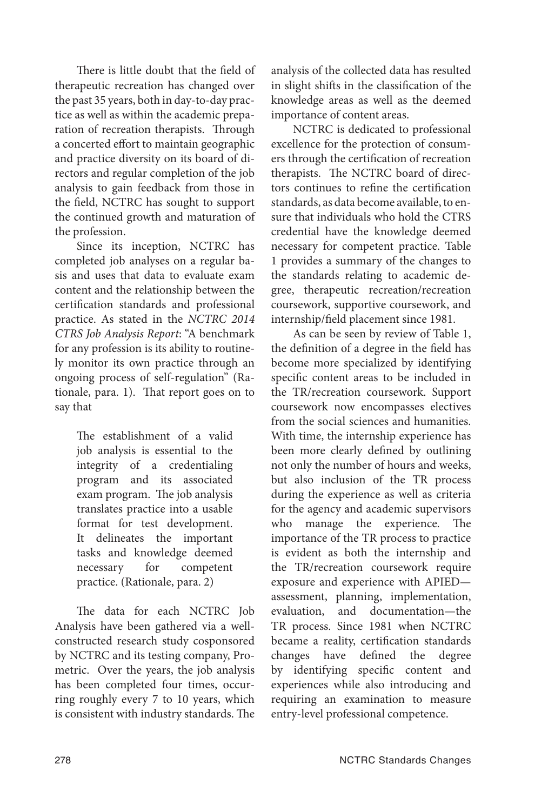There is little doubt that the field of therapeutic recreation has changed over the past 35 years, both in day-to-day practice as well as within the academic preparation of recreation therapists. Through a concerted effort to maintain geographic and practice diversity on its board of directors and regular completion of the job analysis to gain feedback from those in the field, NCTRC has sought to support the continued growth and maturation of the profession.

Since its inception, NCTRC has completed job analyses on a regular basis and uses that data to evaluate exam content and the relationship between the certification standards and professional practice. As stated in the *NCTRC 2014 CTRS Job Analysis Report*: "A benchmark for any profession is its ability to routinely monitor its own practice through an ongoing process of self-regulation" (Rationale, para. 1). That report goes on to say that

> The establishment of a valid job analysis is essential to the integrity of a credentialing program and its associated exam program. The job analysis translates practice into a usable format for test development. It delineates the important tasks and knowledge deemed necessary for competent practice. (Rationale, para. 2)

The data for each NCTRC Job Analysis have been gathered via a wellconstructed research study cosponsored by NCTRC and its testing company, Prometric. Over the years, the job analysis has been completed four times, occurring roughly every 7 to 10 years, which is consistent with industry standards. The analysis of the collected data has resulted in slight shifts in the classification of the knowledge areas as well as the deemed importance of content areas.

NCTRC is dedicated to professional excellence for the protection of consumers through the certification of recreation therapists. The NCTRC board of directors continues to refine the certification standards, as data become available, to ensure that individuals who hold the CTRS credential have the knowledge deemed necessary for competent practice. Table 1 provides a summary of the changes to the standards relating to academic degree, therapeutic recreation/recreation coursework, supportive coursework, and internship/field placement since 1981.

As can be seen by review of Table 1, the definition of a degree in the field has become more specialized by identifying specific content areas to be included in the TR/recreation coursework. Support coursework now encompasses electives from the social sciences and humanities. With time, the internship experience has been more clearly defined by outlining not only the number of hours and weeks, but also inclusion of the TR process during the experience as well as criteria for the agency and academic supervisors who manage the experience. The importance of the TR process to practice is evident as both the internship and the TR/recreation coursework require exposure and experience with APIED assessment, planning, implementation, evaluation, and documentation—the TR process. Since 1981 when NCTRC became a reality, certification standards changes have defined the degree by identifying specific content and experiences while also introducing and requiring an examination to measure entry-level professional competence.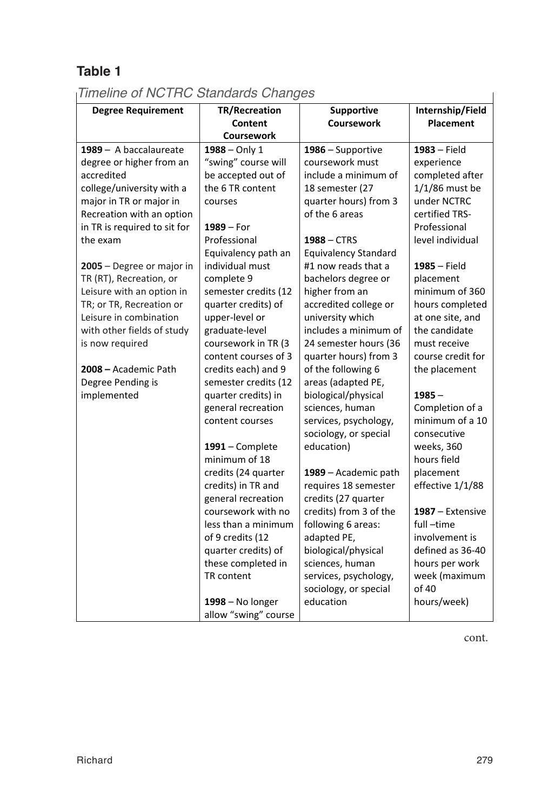# **Table 1**

#### **Times Standards** *Timeline of NCTRC Standards Changes*

| <b>Degree Requirement</b>    | <b>TR/Recreation</b><br>Content<br><b>Coursework</b> | Supportive<br>Coursework | Internship/Field<br><b>Placement</b> |
|------------------------------|------------------------------------------------------|--------------------------|--------------------------------------|
| 1989 - A baccalaureate       | $1988 -$ Only 1                                      | 1986 - Supportive        | $1983 - Field$                       |
| degree or higher from an     | "swing" course will                                  | coursework must          | experience                           |
| accredited                   | be accepted out of                                   | include a minimum of     | completed after                      |
| college/university with a    | the 6 TR content                                     | 18 semester (27          | 1/1/86 must be                       |
| major in TR or major in      | courses                                              | quarter hours) from 3    | under NCTRC                          |
| Recreation with an option    |                                                      | of the 6 areas           | certified TRS-                       |
| in TR is required to sit for | $1989 - For$                                         |                          | Professional                         |
| the exam                     | Professional                                         | $1988 - CTRS$            | level individual                     |
|                              | Equivalency path an                                  | Equivalency Standard     |                                      |
| 2005 - Degree or major in    | individual must                                      | #1 now reads that a      | $1985 - Field$                       |
| TR (RT), Recreation, or      | complete 9                                           | bachelors degree or      | placement                            |
| Leisure with an option in    | semester credits (12                                 | higher from an           | minimum of 360                       |
| TR; or TR, Recreation or     | quarter credits) of                                  | accredited college or    | hours completed                      |
| Leisure in combination       | upper-level or                                       | university which         | at one site, and                     |
| with other fields of study   | graduate-level                                       | includes a minimum of    | the candidate                        |
| is now required              | coursework in TR (3                                  | 24 semester hours (36    | must receive                         |
|                              | content courses of 3                                 | quarter hours) from 3    | course credit for                    |
| 2008 - Academic Path         | credits each) and 9                                  | of the following 6       | the placement                        |
| Degree Pending is            | semester credits (12                                 | areas (adapted PE,       |                                      |
| implemented                  | quarter credits) in                                  | biological/physical      | $1985 -$                             |
|                              | general recreation                                   | sciences, human          | Completion of a                      |
|                              | content courses                                      | services, psychology,    | minimum of a 10                      |
|                              |                                                      | sociology, or special    | consecutive                          |
|                              | $1991$ – Complete                                    | education)               | weeks, 360                           |
|                              | minimum of 18                                        |                          | hours field                          |
|                              | credits (24 quarter                                  | 1989 - Academic path     | placement                            |
|                              | credits) in TR and                                   | requires 18 semester     | effective 1/1/88                     |
|                              | general recreation                                   | credits (27 quarter      |                                      |
|                              | coursework with no                                   | credits) from 3 of the   | 1987 – Extensive                     |
|                              | less than a minimum                                  | following 6 areas:       | full-time                            |
|                              | of 9 credits (12                                     | adapted PE,              | involvement is                       |
|                              | quarter credits) of                                  | biological/physical      | defined as 36-40                     |
|                              | these completed in                                   | sciences, human          | hours per work                       |
|                              | TR content                                           | services, psychology,    | week (maximum                        |
|                              |                                                      | sociology, or special    | of 40                                |
|                              | 1998 - No longer                                     | education                | hours/week)                          |
|                              | allow "swing" course                                 |                          |                                      |

cont.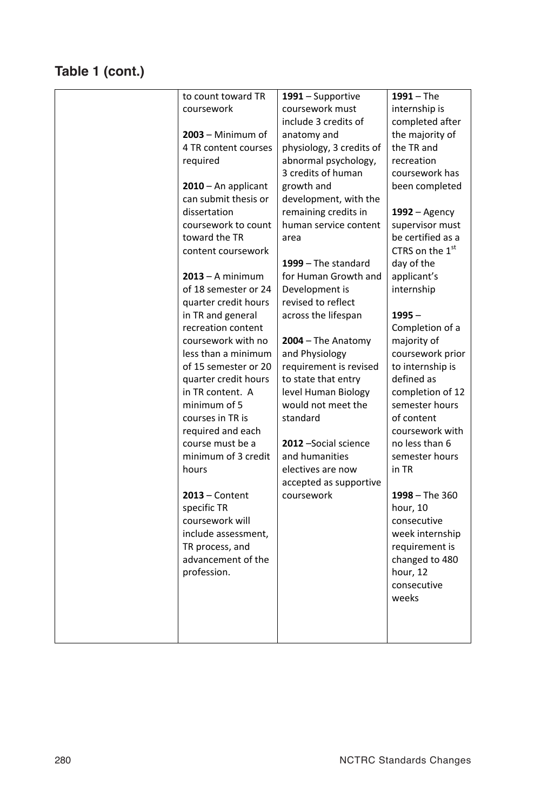## Table 1 (cont.)

| to count toward TR    | 1991 – Supportive        | $1991 - The$                |
|-----------------------|--------------------------|-----------------------------|
| coursework            | coursework must          | internship is               |
|                       | include 3 credits of     | completed after             |
| $2003 -$ Minimum of   | anatomy and              | the majority of             |
| 4 TR content courses  | physiology, 3 credits of | the TR and                  |
| required              | abnormal psychology,     | recreation                  |
|                       | 3 credits of human       | coursework has              |
| $2010 - An$ applicant | growth and               | been completed              |
| can submit thesis or  | development, with the    |                             |
| dissertation          | remaining credits in     | $1992 -$ Agency             |
| coursework to count   | human service content    | supervisor must             |
| toward the TR         | area                     | be certified as a           |
| content coursework    |                          | CTRS on the 1 <sup>st</sup> |
|                       | $1999 -$ The standard    | day of the                  |
| $2013 - A$ minimum    | for Human Growth and     | applicant's                 |
| of 18 semester or 24  | Development is           | internship                  |
| quarter credit hours  | revised to reflect       |                             |
| in TR and general     | across the lifespan      | $1995 -$                    |
| recreation content    |                          | Completion of a             |
| coursework with no    | $2004 -$ The Anatomy     | majority of                 |
| less than a minimum   | and Physiology           | coursework prior            |
| of 15 semester or 20  | requirement is revised   | to internship is            |
| quarter credit hours  | to state that entry      | defined as                  |
| in TR content. A      | level Human Biology      | completion of 12            |
| minimum of 5          | would not meet the       | semester hours              |
| courses in TR is      | standard                 | of content                  |
| required and each     |                          | coursework with             |
| course must be a      | 2012 - Social science    | no less than 6              |
| minimum of 3 credit   | and humanities           | semester hours              |
| hours                 | electives are now        | in TR                       |
|                       | accepted as supportive   |                             |
| $2013$ – Content      | coursework               | $1998 -$ The 360            |
| specific TR           |                          | hour, 10                    |
| coursework will       |                          | consecutive                 |
| include assessment,   |                          | week internship             |
| TR process, and       |                          | requirement is              |
| advancement of the    |                          | changed to 480              |
| profession.           |                          | hour, 12                    |
|                       |                          | consecutive                 |
|                       |                          | weeks                       |
|                       |                          |                             |
|                       |                          |                             |
|                       |                          |                             |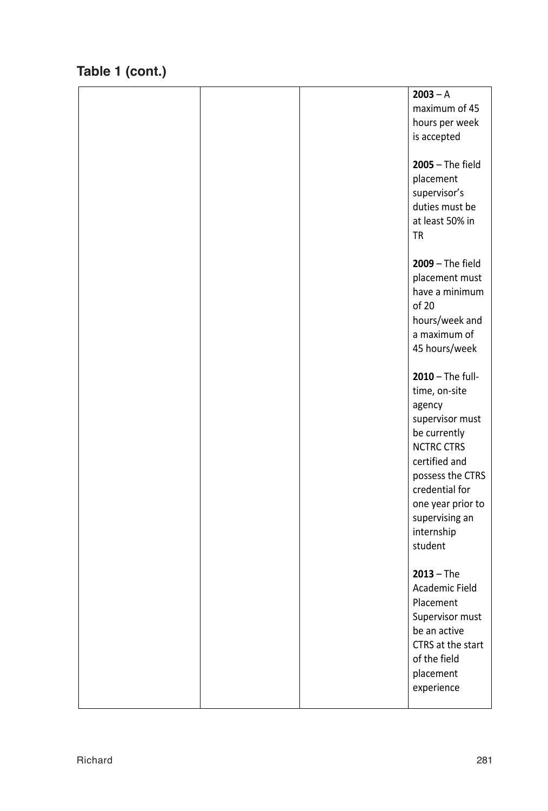# **Table 1 (cont.)**

|  | $2003 - A$<br>maximum of 45<br>hours per week<br>is accepted<br><b>2005</b> - The field<br>placement<br>supervisor's<br>duties must be<br>at least 50% in<br>TR                                                            |
|--|----------------------------------------------------------------------------------------------------------------------------------------------------------------------------------------------------------------------------|
|  | <b>2009</b> - The field<br>placement must<br>have a minimum<br>of 20<br>hours/week and<br>a maximum of<br>45 hours/week                                                                                                    |
|  | 2010 - The full-<br>time, on-site<br>agency<br>supervisor must<br>be currently<br><b>NCTRC CTRS</b><br>certified and<br>possess the CTRS<br>credential for<br>one year prior to<br>supervising an<br>internship<br>student |
|  | $2013 - The$<br>Academic Field<br>Placement<br>Supervisor must<br>be an active<br>CTRS at the start<br>of the field<br>placement<br>experience                                                                             |